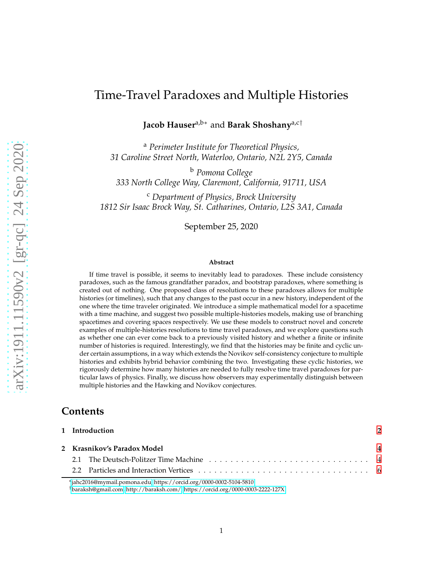# Time-Travel Paradoxes and Multiple Histories

**Jacob Hauser**a,b<sup>∗</sup> and **Barak Shoshany**a,c†

<sup>a</sup> *Perimeter Institute for Theoretical Physics, 31 Caroline Street North, Waterloo, Ontario, N2L 2Y5, Canada*

<sup>b</sup> *Pomona College 333 North College Way, Claremont, California, 91711, USA*

<sup>c</sup> *Department of Physics, Brock University 1812 Sir Isaac Brock Way, St. Catharines, Ontario, L2S 3A1, Canada*

September 25, 2020

#### **Abstract**

If time travel is possible, it seems to inevitably lead to paradoxes. These include consistency paradoxes, such as the famous grandfather paradox, and bootstrap paradoxes, where something is created out of nothing. One proposed class of resolutions to these paradoxes allows for multiple histories (or timelines), such that any changes to the past occur in a new history, independent of the one where the time traveler originated. We introduce a simple mathematical model for a spacetime with a time machine, and suggest two possible multiple-histories models, making use of branching spacetimes and covering spaces respectively. We use these models to construct novel and concrete examples of multiple-histories resolutions to time travel paradoxes, and we explore questions such as whether one can ever come back to a previously visited history and whether a finite or infinite number of histories is required. Interestingly, we find that the histories may be finite and cyclic under certain assumptions, in a way which extends the Novikov self-consistency conjecture to multiple histories and exhibits hybrid behavior combining the two. Investigating these cyclic histories, we rigorously determine how many histories are needed to fully resolve time travel paradoxes for particular laws of physics. Finally, we discuss how observers may experimentally distinguish between multiple histories and the Hawking and Novikov conjectures.

### **Contents**

|  | 1 Introduction              |  |
|--|-----------------------------|--|
|  | 2 Krasnikov's Paradox Model |  |
|  |                             |  |
|  |                             |  |
|  |                             |  |

∗ [jahc2016@mymail.pomona.edu,](mailto:jahc2016@mymail.pomona.edu)<https://orcid.org/0000-0002-5104-5810>

†[baraksh@gmail.com,](mailto:baraksh@gmail.com) [http://baraksh.com/,](http://baraksh.com/)<https://orcid.org/0000-0003-2222-127X>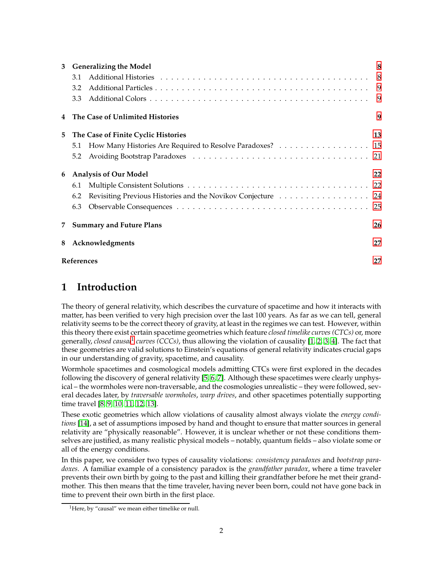| 3                 | <b>Generalizing the Model</b>       |                                                             |   |  |
|-------------------|-------------------------------------|-------------------------------------------------------------|---|--|
|                   | 3.1                                 |                                                             | 8 |  |
|                   | 3.2                                 |                                                             | 9 |  |
|                   | 3.3                                 |                                                             | 9 |  |
| 4                 | The Case of Unlimited Histories     |                                                             | 9 |  |
| 5                 | The Case of Finite Cyclic Histories | 13                                                          |   |  |
|                   | 5.1                                 | How Many Histories Are Required to Resolve Paradoxes? 15    |   |  |
|                   | 5.2                                 |                                                             |   |  |
| 6                 | <b>Analysis of Our Model</b><br>22  |                                                             |   |  |
|                   | 6.1                                 |                                                             |   |  |
|                   | 6.2                                 | Revisiting Previous Histories and the Novikov Conjecture 24 |   |  |
|                   | 6.3                                 |                                                             |   |  |
| 7                 | <b>Summary and Future Plans</b>     | 26                                                          |   |  |
| 8                 | Acknowledgments                     | 27                                                          |   |  |
| <b>References</b> |                                     |                                                             |   |  |

# <span id="page-1-0"></span>**1 Introduction**

The theory of general relativity, which describes the curvature of spacetime and how it interacts with matter, has been verified to very high precision over the last 100 years. As far as we can tell, general relativity seems to be the correct theory of gravity, at least in the regimes we can test. However, within this theory there exist certain spacetime geometries which feature *closed timelike curves (CTCs)* or, more generally*, closed causal<sup>[1](#page-1-1)</sup> curves (CCCs),* thus allowing the violation of causality [\[1,](#page-26-2) [2,](#page-26-3) [3,](#page-27-0) [4\]](#page-27-1). The fact that these geometries are valid solutions to Einstein's equations of general relativity indicates crucial gaps in our understanding of gravity, spacetime, and causality.

Wormhole spacetimes and cosmological models admitting CTCs were first explored in the decades following the discovery of general relativity [\[5,](#page-27-2) [6,](#page-27-3) [7\]](#page-27-4). Although these spacetimes were clearly unphysical – the wormholes were non-traversable, and the cosmologies unrealistic – they were followed, several decades later, by *traversable wormholes*, *warp drives*, and other spacetimes potentially supporting time travel [\[8,](#page-27-5) [9,](#page-27-6) [10,](#page-27-7) [11,](#page-27-8) [12,](#page-27-9) [13\]](#page-27-10).

These exotic geometries which allow violations of causality almost always violate the *energy conditions* [\[14\]](#page-27-11), a set of assumptions imposed by hand and thought to ensure that matter sources in general relativity are "physically reasonable". However, it is unclear whether or not these conditions themselves are justified, as many realistic physical models – notably, quantum fields – also violate some or all of the energy conditions.

In this paper, we consider two types of causality violations: *consistency paradoxes* and *bootstrap paradoxes*. A familiar example of a consistency paradox is the *grandfather paradox*, where a time traveler prevents their own birth by going to the past and killing their grandfather before he met their grandmother. This then means that the time traveler, having never been born, could not have gone back in time to prevent their own birth in the first place.

<span id="page-1-1"></span><sup>&</sup>lt;sup>1</sup>Here, by "causal" we mean either timelike or null.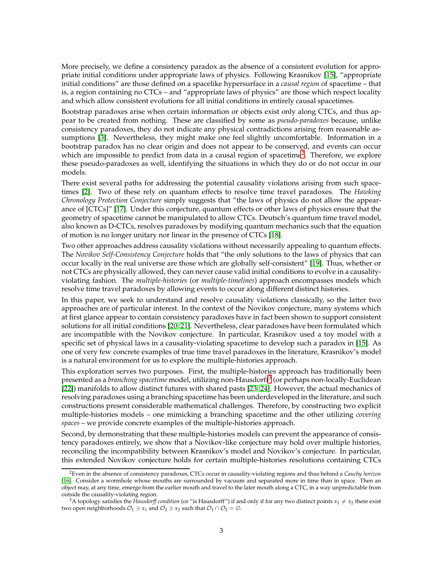More precisely, we define a consistency paradox as the absence of a consistent evolution for appropriate initial conditions under appropriate laws of physics. Following Krasnikov [\[15\]](#page-27-12), "appropriate initial conditions" are those defined on a spacelike hypersurface in a *causal region* of spacetime – that is, a region containing no CTCs – and "appropriate laws of physics" are those which respect locality and which allow consistent evolutions for all initial conditions in entirely causal spacetimes.

Bootstrap paradoxes arise when certain information or objects exist only along CTCs, and thus appear to be created from nothing. These are classified by some as *pseudo-paradoxes* because, unlike consistency paradoxes, they do not indicate any physical contradictions arising from reasonable assumptions [\[3\]](#page-27-0). Nevertheless, they might make one feel slightly uncomfortable. Information in a bootstrap paradox has no clear origin and does not appear to be conserved, and events can occur which are impossible to predict from data in a causal region of spacetime<sup>[2](#page-2-0)</sup>. Therefore, we explore these pseudo-paradoxes as well, identifying the situations in which they do or do not occur in our models.

There exist several paths for addressing the potential causality violations arising from such spacetimes [\[2\]](#page-26-3). Two of these rely on quantum effects to resolve time travel paradoxes. The *Hawking Chronology Protection Conjecture* simply suggests that "the laws of physics do not allow the appearance of [CTCs]" [\[17\]](#page-27-13). Under this conjecture, quantum effects or other laws of physics ensure that the geometry of spacetime cannot be manipulated to allow CTCs. Deutsch's quantum time travel model, also known as D-CTCs, resolves paradoxes by modifying quantum mechanics such that the equation of motion is no longer unitary nor linear in the presence of CTCs [\[18\]](#page-27-14).

Two other approaches address causality violations without necessarily appealing to quantum effects. The *Novikov Self-Consistency Conjecture* holds that "the only solutions to the laws of physics that can occur locally in the real universe are those which are globally self-consistent" [\[19\]](#page-27-15). Thus, whether or not CTCs are physically allowed, they can never cause valid initial conditions to evolve in a causalityviolating fashion. The *multiple-histories* (or *multiple-timelines*) approach encompasses models which resolve time travel paradoxes by allowing events to occur along different distinct histories.

In this paper, we seek to understand and resolve causality violations classically, so the latter two approaches are of particular interest. In the context of the Novikov conjecture, many systems which at first glance appear to contain consistency paradoxes have in fact been shown to support consistent solutions for all initial conditions [\[20,](#page-27-16) [21\]](#page-27-17). Nevertheless, clear paradoxes have been formulated which are incompatible with the Novikov conjecture. In particular, Krasnikov used a toy model with a specific set of physical laws in a causality-violating spacetime to develop such a paradox in [\[15\]](#page-27-12). As one of very few concrete examples of true time travel paradoxes in the literature, Krasnikov's model is a natural environment for us to explore the multiple-histories approach.

This exploration serves two purposes. First, the multiple-histories approach has traditionally been presented as a *branching spacetime* model, utilizing non-Hausdorff[3](#page-2-1) (or perhaps non-locally-Euclidean [\[22\]](#page-28-0)) manifolds to allow distinct futures with shared pasts [\[23,](#page-28-1) [24\]](#page-28-2). However, the actual mechanics of resolving paradoxes using a branching spacetime has been underdeveloped in the literature, and such constructions present considerable mathematical challenges. Therefore, by constructing two explicit multiple-histories models – one mimicking a branching spacetime and the other utilizing *covering spaces* – we provide concrete examples of the multiple-histories approach.

Second, by demonstrating that these multiple-histories models can prevent the appearance of consistency paradoxes entirely, we show that a Novikov-like conjecture may hold over multiple histories, reconciling the incompatibility between Krasnikov's model and Novikov's conjecture. In particular, this extended Novikov conjecture holds for certain multiple-histories resolutions containing CTCs

<span id="page-2-0"></span><sup>2</sup>Even in the absence of consistency paradoxes, CTCs occur in causality-violating regions and thus behind a *Cauchy horizon* [\[16\]](#page-27-18). Consider a wormhole whose mouths are surrounded by vacuum and separated more in time than in space. Then an object may, at any time, emerge from the earlier mouth and travel to the later mouth along a CTC, in a way unpredictable from outside the causality-violating region.

<span id="page-2-1"></span><sup>&</sup>lt;sup>3</sup>A topology satisfies the *Hausdorff condition* (or "is Hausdorff") if and only if for any two distinct points  $x_1 \neq x_2$  there exist two open neighborhoods  $\mathcal{O}_1 \ni x_1$  and  $\mathcal{O}_2 \ni x_2$  such that  $\mathcal{O}_1 \cap \mathcal{O}_2 = \emptyset$ .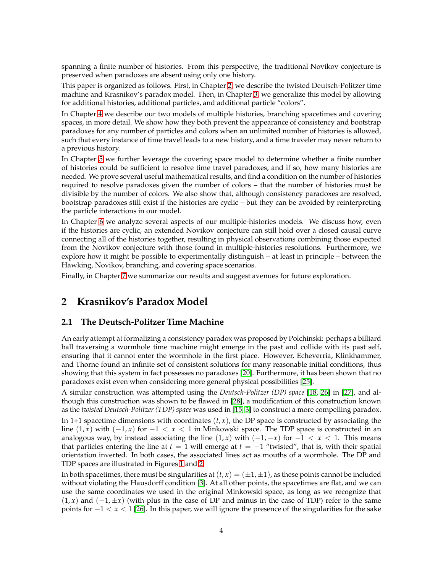spanning a finite number of histories. From this perspective, the traditional Novikov conjecture is preserved when paradoxes are absent using only one history.

This paper is organized as follows. First, in Chapter [2,](#page-3-0) we describe the twisted Deutsch-Politzer time machine and Krasnikov's paradox model. Then, in Chapter [3,](#page-7-0) we generalize this model by allowing for additional histories, additional particles, and additional particle "colors".

In Chapter [4](#page-8-2) we describe our two models of multiple histories, branching spacetimes and covering spaces, in more detail. We show how they both prevent the appearance of consistency and bootstrap paradoxes for any number of particles and colors when an unlimited number of histories is allowed, such that every instance of time travel leads to a new history, and a time traveler may never return to a previous history.

In Chapter [5](#page-12-0) we further leverage the covering space model to determine whether a finite number of histories could be sufficient to resolve time travel paradoxes, and if so, how many histories are needed. We prove several useful mathematical results, and find a condition on the number of histories required to resolve paradoxes given the number of colors – that the number of histories must be divisible by the number of colors. We also show that, although consistency paradoxes are resolved, bootstrap paradoxes still exist if the histories are cyclic – but they can be avoided by reinterpreting the particle interactions in our model.

In Chapter [6](#page-21-0) we analyze several aspects of our multiple-histories models. We discuss how, even if the histories are cyclic, an extended Novikov conjecture can still hold over a closed causal curve connecting all of the histories together, resulting in physical observations combining those expected from the Novikov conjecture with those found in multiple-histories resolutions. Furthermore, we explore how it might be possible to experimentally distinguish – at least in principle – between the Hawking, Novikov, branching, and covering space scenarios.

Finally, in Chapter [7](#page-25-0) we summarize our results and suggest avenues for future exploration.

### <span id="page-3-1"></span><span id="page-3-0"></span>**2 Krasnikov's Paradox Model**

#### **2.1 The Deutsch-Politzer Time Machine**

An early attempt at formalizing a consistency paradox was proposed by Polchinski: perhaps a billiard ball traversing a wormhole time machine might emerge in the past and collide with its past self, ensuring that it cannot enter the wormhole in the first place. However, Echeverria, Klinkhammer, and Thorne found an infinite set of consistent solutions for many reasonable initial conditions, thus showing that this system in fact possesses no paradoxes [\[20\]](#page-27-16). Furthermore, it has been shown that no paradoxes exist even when considering more general physical possibilities [\[25\]](#page-28-3).

A similar construction was attempted using the *Deutsch-Politzer (DP) space* [\[18,](#page-27-14) [26\]](#page-28-4) in [\[27\]](#page-28-5), and although this construction was shown to be flawed in [\[28\]](#page-28-6), a modification of this construction known as the *twisted Deutsch-Politzer (TDP) space* was used in [\[15,](#page-27-12) [3\]](#page-27-0) to construct a more compelling paradox. In 1+1 spacetime dimensions with coordinates  $(t, x)$ , the DP space is constructed by associating the line  $(1, x)$  with  $(-1, x)$  for  $-1 < x < 1$  in Minkowski space. The TDP space is constructed in an analogous way, by instead associating the line  $(1, x)$  with  $(-1, -x)$  for  $-1 < x < 1$ . This means that particles entering the line at  $t = 1$  will emerge at  $t = -1$  "twisted", that is, with their spatial orientation inverted. In both cases, the associated lines act as mouths of a wormhole. The DP and TDP spaces are illustrated in Figures [1](#page-4-0) and [2.](#page-4-1)

In both spacetimes, there must be singularities at  $(t, x) = (\pm 1, \pm 1)$ , as these points cannot be included without violating the Hausdorff condition [\[3\]](#page-27-0). At all other points, the spacetimes are flat, and we can use the same coordinates we used in the original Minkowski space, as long as we recognize that  $(1, x)$  and  $(-1, \pm x)$  (with plus in the case of DP and minus in the case of TDP) refer to the same points for −1 < *x* < 1 [\[26\]](#page-28-4). In this paper, we will ignore the presence of the singularities for the sake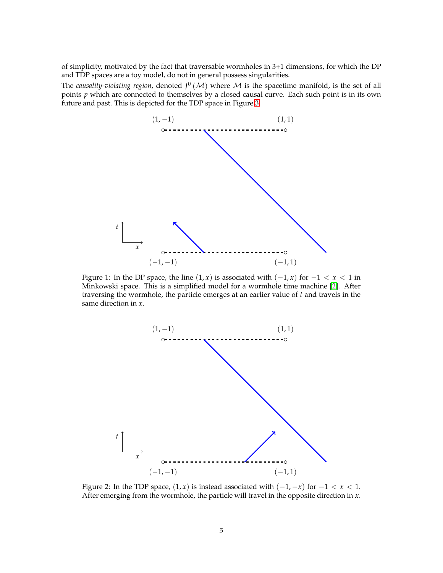of simplicity, motivated by the fact that traversable wormholes in 3+1 dimensions, for which the DP and TDP spaces are a toy model, do not in general possess singularities.

<span id="page-4-0"></span>The *causality-violating region*, denoted  $J^0(\mathcal{M})$  where  $\mathcal M$  is the spacetime manifold, is the set of all points *p* which are connected to themselves by a closed causal curve. Each such point is in its own future and past. This is depicted for the TDP space in Figure [3.](#page-5-1)



Figure 1: In the DP space, the line  $(1, x)$  is associated with  $(-1, x)$  for  $-1 < x < 1$  in Minkowski space. This is a simplified model for a wormhole time machine [\[2\]](#page-26-3). After traversing the wormhole, the particle emerges at an earlier value of *t* and travels in the same direction in *x*.

<span id="page-4-1"></span>

Figure 2: In the TDP space,  $(1, x)$  is instead associated with  $(-1, -x)$  for  $-1 < x < 1$ . After emerging from the wormhole, the particle will travel in the opposite direction in *x*.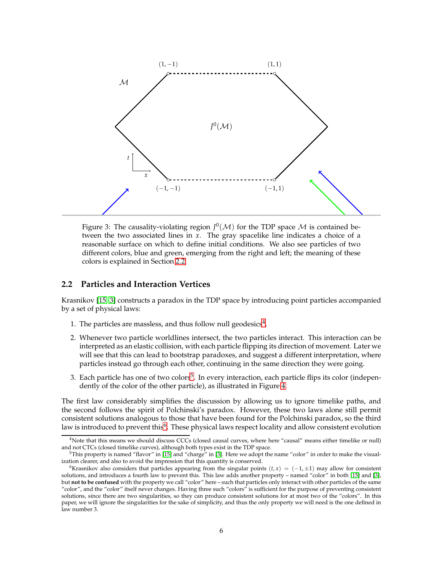<span id="page-5-1"></span>

Figure 3: The causality-violating region  $J^0(\mathcal{M})$  for the TDP space  $\mathcal M$  is contained between the two associated lines in *x*. The gray spacelike line indicates a choice of a reasonable surface on which to define initial conditions. We also see particles of two different colors, blue and green, emerging from the right and left; the meaning of these colors is explained in Section [2.2.](#page-5-0)

#### <span id="page-5-0"></span>**2.2 Particles and Interaction Vertices**

Krasnikov [\[15,](#page-27-12) [3\]](#page-27-0) constructs a paradox in the TDP space by introducing point particles accompanied by a set of physical laws:

- 1. The particles are massless, and thus follow null geodesics<sup>[4](#page-5-2)</sup>.
- 2. Whenever two particle worldlines intersect, the two particles interact. This interaction can be interpreted as an elastic collision, with each particle flipping its direction of movement. Later we will see that this can lead to bootstrap paradoxes, and suggest a different interpretation, where particles instead go through each other, continuing in the same direction they were going.
- 3. Each particle has one of two colors $^5$  $^5$ . In every interaction, each particle flips its color (independently of the color of the other particle), as illustrated in Figure [4.](#page-6-0)

The first law considerably simplifies the discussion by allowing us to ignore timelike paths, and the second follows the spirit of Polchinski's paradox. However, these two laws alone still permit consistent solutions analogous to those that have been found for the Polchinski paradox, so the third law is introduced to prevent this $^6$  $^6$ . These physical laws respect locality and allow consistent evolution

<span id="page-5-2"></span><sup>4</sup>Note that this means we should discuss CCCs (closed causal curves, where here "causal" means either timelike or null) and not CTCs (closed timelike curves), although both types exist in the TDP space.

 $5$ This property is named "flavor" in [\[15\]](#page-27-12) and "charge" in [\[3\]](#page-27-0). Here we adopt the name "color" in order to make the visualization clearer, and also to avoid the impression that this quantity is conserved.

<span id="page-5-4"></span><span id="page-5-3"></span><sup>&</sup>lt;sup>6</sup>Krasnikov also considers that particles appearing from the singular points  $(t, x) = (-1, \pm 1)$  may allow for consistent solutions, and introduces a fourth law to prevent this. This law adds another property – named "color" in both [\[15\]](#page-27-12) and [\[3\]](#page-27-0), but **not to be confused** with the property we call "color" here – such that particles only interact with other particles of the same "color", and the "color" itself never changes. Having three such "colors" is sufficient for the purpose of preventing consistent solutions, since there are two singularities, so they can produce consistent solutions for at most two of the "colors". In this paper, we will ignore the singularities for the sake of simplicity, and thus the only property we will need is the one defined in law number 3.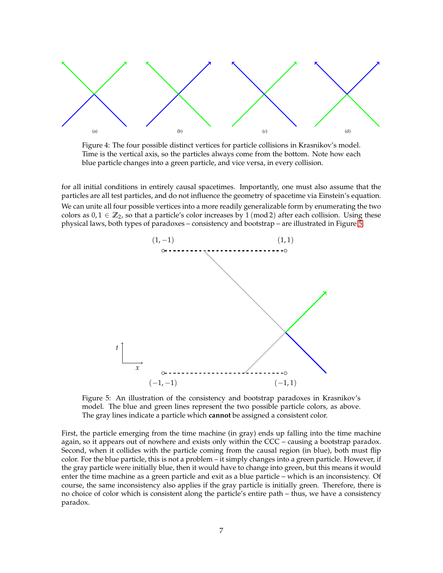<span id="page-6-0"></span>

Figure 4: The four possible distinct vertices for particle collisions in Krasnikov's model. Time is the vertical axis, so the particles always come from the bottom. Note how each blue particle changes into a green particle, and vice versa, in every collision.

<span id="page-6-1"></span>for all initial conditions in entirely causal spacetimes. Importantly, one must also assume that the particles are all test particles, and do not influence the geometry of spacetime via Einstein's equation. We can unite all four possible vertices into a more readily generalizable form by enumerating the two colors as  $0, 1 \in \mathbb{Z}_2$ , so that a particle's color increases by 1 (mod 2) after each collision. Using these physical laws, both types of paradoxes – consistency and bootstrap – are illustrated in Figure [5.](#page-6-1)



Figure 5: An illustration of the consistency and bootstrap paradoxes in Krasnikov's model. The blue and green lines represent the two possible particle colors, as above. The gray lines indicate a particle which **cannot** be assigned a consistent color.

First, the particle emerging from the time machine (in gray) ends up falling into the time machine again, so it appears out of nowhere and exists only within the CCC – causing a bootstrap paradox. Second, when it collides with the particle coming from the causal region (in blue), both must flip color. For the blue particle, this is not a problem – it simply changes into a green particle. However, if the gray particle were initially blue, then it would have to change into green, but this means it would enter the time machine as a green particle and exit as a blue particle – which is an inconsistency. Of course, the same inconsistency also applies if the gray particle is initially green. Therefore, there is no choice of color which is consistent along the particle's entire path – thus, we have a consistency paradox.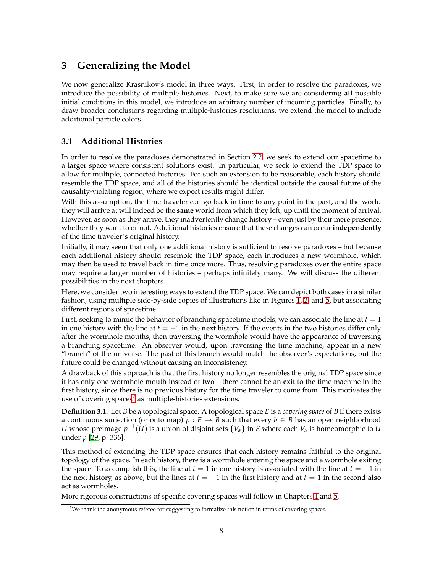# <span id="page-7-0"></span>**3 Generalizing the Model**

We now generalize Krasnikov's model in three ways. First, in order to resolve the paradoxes, we introduce the possibility of multiple histories. Next, to make sure we are considering **all** possible initial conditions in this model, we introduce an arbitrary number of incoming particles. Finally, to draw broader conclusions regarding multiple-histories resolutions, we extend the model to include additional particle colors.

### <span id="page-7-1"></span>**3.1 Additional Histories**

In order to resolve the paradoxes demonstrated in Section [2.2,](#page-5-0) we seek to extend our spacetime to a larger space where consistent solutions exist. In particular, we seek to extend the TDP space to allow for multiple, connected histories. For such an extension to be reasonable, each history should resemble the TDP space, and all of the histories should be identical outside the causal future of the causality-violating region, where we expect results might differ.

With this assumption, the time traveler can go back in time to any point in the past, and the world they will arrive at will indeed be the **same** world from which they left, up until the moment of arrival. However, as soon as they arrive, they inadvertently change history – even just by their mere presence, whether they want to or not. Additional histories ensure that these changes can occur **independently** of the time traveler's original history.

Initially, it may seem that only one additional history is sufficient to resolve paradoxes – but because each additional history should resemble the TDP space, each introduces a new wormhole, which may then be used to travel back in time once more. Thus, resolving paradoxes over the entire space may require a larger number of histories – perhaps infinitely many. We will discuss the different possibilities in the next chapters.

Here, we consider two interesting ways to extend the TDP space. We can depict both cases in a similar fashion, using multiple side-by-side copies of illustrations like in Figures [1,](#page-4-0) [2,](#page-4-1) and [5,](#page-6-1) but associating different regions of spacetime.

First, seeking to mimic the behavior of branching spacetime models, we can associate the line at  $t = 1$ in one history with the line at *t* = −1 in the **next** history. If the events in the two histories differ only after the wormhole mouths, then traversing the wormhole would have the appearance of traversing a branching spacetime. An observer would, upon traversing the time machine, appear in a new "branch" of the universe. The past of this branch would match the observer's expectations, but the future could be changed without causing an inconsistency.

A drawback of this approach is that the first history no longer resembles the original TDP space since it has only one wormhole mouth instead of two – there cannot be an **exit** to the time machine in the first history, since there is no previous history for the time traveler to come from. This motivates the use of covering spaces<sup>[7](#page-7-2)</sup> as multiple-histories extensions.

**Definition 3.1.** Let *B* be a topological space. A topological space *E* is a *covering space* of *B* if there exists a continuous surjection (or onto map)  $p : E \to B$  such that every  $b \in B$  has an open neighborhood *U* whose preimage  $p^{-1}(U)$  is a union of disjoint sets  $\{V_\alpha\}$  in *E* where each  $V_\alpha$  is homeomorphic to *U* under *p* [\[29,](#page-28-7) p. 336].

This method of extending the TDP space ensures that each history remains faithful to the original topology of the space. In each history, there is a wormhole entering the space and a wormhole exiting the space. To accomplish this, the line at  $t = 1$  in one history is associated with the line at  $t = -1$  in the next history, as above, but the lines at *t* = −1 in the first history and at *t* = 1 in the second **also** act as wormholes.

More rigorous constructions of specific covering spaces will follow in Chapters [4](#page-8-2) and [5.](#page-12-0)

<span id="page-7-2"></span><sup>&</sup>lt;sup>7</sup>We thank the anonymous referee for suggesting to formalize this notion in terms of covering spaces.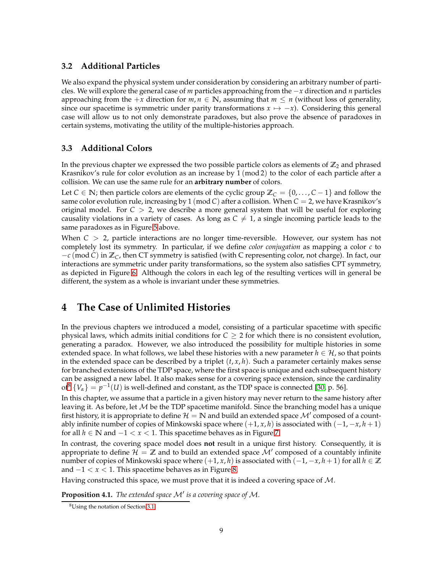### <span id="page-8-0"></span>**3.2 Additional Particles**

We also expand the physical system under consideration by considering an arbitrary number of particles. We will explore the general case of *m* particles approaching from the −*x* direction and *n* particles approaching from the +*x* direction for  $m, n \in \mathbb{N}$ , assuming that  $m \leq n$  (without loss of generality, since our spacetime is symmetric under parity transformations  $x \mapsto -x$ ). Considering this general case will allow us to not only demonstrate paradoxes, but also prove the absence of paradoxes in certain systems, motivating the utility of the multiple-histories approach.

### <span id="page-8-1"></span>**3.3 Additional Colors**

In the previous chapter we expressed the two possible particle colors as elements of  $\mathbb{Z}_2$  and phrased Krasnikov's rule for color evolution as an increase by 1 (mod 2) to the color of each particle after a collision. We can use the same rule for an **arbitrary number** of colors.

Let *C* ∈ **N**; then particle colors are elements of the cyclic group  $\mathbb{Z}_C = \{0, \ldots, C - 1\}$  and follow the same color evolution rule, increasing by 1 (mod *C*) after a collision. When *C* = 2, we have Krasnikov's original model. For  $C > 2$ , we describe a more general system that will be useful for exploring causality violations in a variety of cases. As long as  $C \neq 1$ , a single incoming particle leads to the same paradoxes as in Figure [5](#page-6-1) above.

When *C* > 2, particle interactions are no longer time-reversible. However, our system has not completely lost its symmetry. In particular, if we define *color conjugation* as mapping a color *c* to −*c* (mod *C*) in **Z***C*, then CT symmetry is satisfied (with C representing color, not charge). In fact, our interactions are symmetric under parity transformations, so the system also satisfies CPT symmetry, as depicted in Figure [6.](#page-9-0) Although the colors in each leg of the resulting vertices will in general be different, the system as a whole is invariant under these symmetries.

### <span id="page-8-2"></span>**4 The Case of Unlimited Histories**

In the previous chapters we introduced a model, consisting of a particular spacetime with specific physical laws, which admits initial conditions for  $C \geq 2$  for which there is no consistent evolution, generating a paradox. However, we also introduced the possibility for multiple histories in some extended space. In what follows, we label these histories with a new parameter  $h \in \mathcal{H}$ , so that points in the extended space can be described by a triplet (*t*, *x*, *h*). Such a parameter certainly makes sense for branched extensions of the TDP space, where the first space is unique and each subsequent history can be assigned a new label. It also makes sense for a covering space extension, since the cardinality of<sup>[8](#page-8-3)</sup>  $\{V_\alpha\} = p^{-1}(U)$  is well-defined and constant, as the TDP space is connected [\[30,](#page-28-8) p. 56].

In this chapter, we assume that a particle in a given history may never return to the same history after leaving it. As before, let  $M$  be the TDP spacetime manifold. Since the branching model has a unique first history, it is appropriate to define  $\mathcal{H} = \mathbb{N}$  and build an extended space  $\mathcal{M}'$  composed of a countably infinite number of copies of Minkowski space where  $(+1, x, h)$  is associated with  $(-1, -x, h + 1)$ for all  $h \in \mathbb{N}$  and  $-1 < x < 1$ . This spacetime behaves as in Figure [7.](#page-9-1)

In contrast, the covering space model does **not** result in a unique first history. Consequently, it is appropriate to define  $\mathcal{H} = \mathbb{Z}$  and to build an extended space  $\mathcal{M}'$  composed of a countably infinite number of copies of Minkowski space where  $(+1, x, h)$  is associated with  $(-1, -x, h + 1)$  for all  $h \in \mathbb{Z}$ and −1 < *x* < 1. This spacetime behaves as in Figure [8.](#page-10-0)

Having constructed this space, we must prove that it is indeed a covering space of  $M$ .

**Proposition 4.1.** *The extended space* M′ *is a covering space of* M*.*

<span id="page-8-3"></span><sup>8</sup>Using the notation of Section [3.1.](#page-7-1)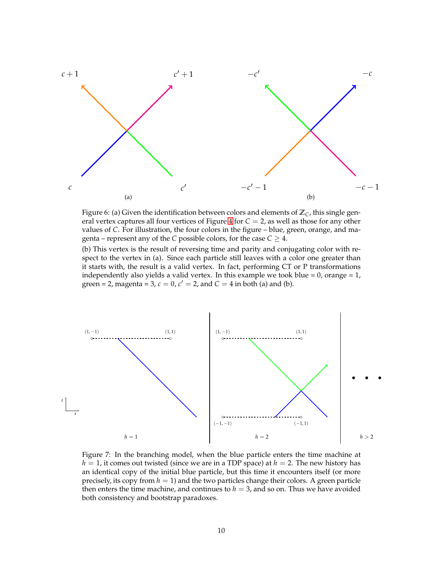<span id="page-9-0"></span>

Figure 6: (a) Given the identification between colors and elements of  $\mathbb{Z}_C$ , this single general vertex captures all four vertices of Figure [4](#page-6-0) for *C* = 2, as well as those for any other values of *C*. For illustration, the four colors in the figure – blue, green, orange, and magenta – represent any of the *C* possible colors, for the case  $C \geq 4$ .

(b) This vertex is the result of reversing time and parity and conjugating color with respect to the vertex in (a). Since each particle still leaves with a color one greater than it starts with, the result is a valid vertex. In fact, performing CT or P transformations independently also yields a valid vertex. In this example we took blue  $= 0$ , orange  $= 1$ ,  $green = 2$ , magenta = 3,  $c = 0$ ,  $c' = 2$ , and  $C = 4$  in both (a) and (b).

<span id="page-9-1"></span>

Figure 7: In the branching model, when the blue particle enters the time machine at  $h = 1$ , it comes out twisted (since we are in a TDP space) at  $h = 2$ . The new history has an identical copy of the initial blue particle, but this time it encounters itself (or more precisely, its copy from  $h = 1$ ) and the two particles change their colors. A green particle then enters the time machine, and continues to  $h = 3$ , and so on. Thus we have avoided both consistency and bootstrap paradoxes.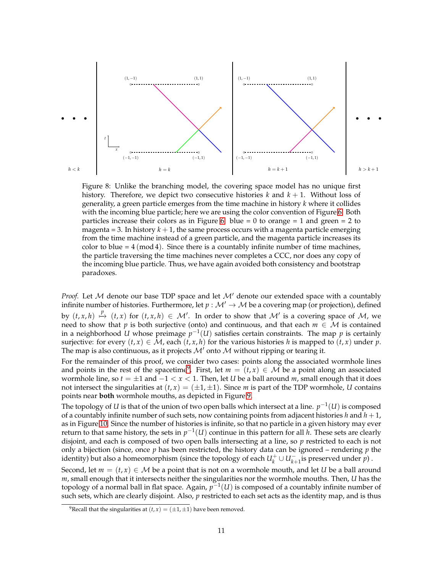<span id="page-10-0"></span>

Figure 8: Unlike the branching model, the covering space model has no unique first history. Therefore, we depict two consecutive histories  $k$  and  $k + 1$ . Without loss of generality, a green particle emerges from the time machine in history *k* where it collides with the incoming blue particle; here we are using the color convention of Figure [6.](#page-9-0) Both particles increase their colors as in Figure [6:](#page-9-0) blue  $= 0$  to orange  $= 1$  and green  $= 2$  to magenta  $= 3$ . In history  $k + 1$ , the same process occurs with a magenta particle emerging from the time machine instead of a green particle, and the magenta particle increases its color to blue  $= 4 \pmod{4}$ . Since there is a countably infinite number of time machines, the particle traversing the time machines never completes a CCC, nor does any copy of the incoming blue particle. Thus, we have again avoided both consistency and bootstrap paradoxes.

*Proof.* Let  $M$  denote our base TDP space and let  $M'$  denote our extended space with a countably infinite number of histories. Furthermore, let  $p : \mathcal{M}' \to \mathcal{M}$  be a covering map (or projection), defined by  $(t, x, h) \stackrel{p}{\mapsto} (t, x)$  for  $(t, x, h) \in \mathcal{M}'$ . In order to show that  $\mathcal{M}'$  is a covering space of  $\mathcal{M}$ , we need to show that *p* is both surjective (onto) and continuous, and that each  $m \in \mathcal{M}$  is contained in a neighborhood *U* whose preimage  $p^{-1}(U)$  satisfies certain constraints. The map  $p$  is certainly surjective: for every  $(t, x) \in M$ , each  $(t, x, h)$  for the various histories *h* is mapped to  $(t, x)$  under *p*. The map is also continuous, as it projects  $\mathcal{M}'$  onto  $\mathcal M$  without ripping or tearing it.

For the remainder of this proof, we consider two cases: points along the associated wormhole lines and points in the rest of the spacetime<sup>[9](#page-10-1)</sup>. First, let  $m = (t, x) \in \mathcal{M}$  be a point along an associated wormhole line, so  $t = \pm 1$  and  $-1 < x < 1$ . Then, let *U* be a ball around *m*, small enough that it does not intersect the singularities at  $(t, x) = (\pm 1, \pm 1)$ . Since *m* is part of the TDP wormhole, *U* contains points near **both** wormhole mouths, as depicted in Figure [9.](#page-11-0)

The topology of *U* is that of the union of two open balls which intersect at a line.  $p^{-1}(U)$  is composed of a countably infinite number of such sets, now containing points from adjacent histories *h* and *h* + 1, as in Figure [10.](#page-11-1) Since the number of histories is infinite, so that no particle in a given history may ever return to that same history, the sets in  $p^{-1}(U)$  continue in this pattern for all *h*. These sets are clearly disjoint, and each is composed of two open balls intersecting at a line, so *p* restricted to each is not only a bijection (since, once  $p$  has been restricted, the history data can be ignored – rendering  $p$  the identity) but also a homeomorphism (since the topology of each  $U_k^+ \cup U_{k+1}^-$  is preserved under  $p$ ).

Second, let  $m = (t, x) \in M$  be a point that is not on a wormhole mouth, and let *U* be a ball around *m*, small enough that it intersects neither the singularities nor the wormhole mouths. Then, *U* has the topology of a normal ball in flat space. Again,  $p^{-1}(U)$  is composed of a countably infinite number of such sets, which are clearly disjoint. Also, *p* restricted to each set acts as the identity map, and is thus

<span id="page-10-1"></span><sup>&</sup>lt;sup>9</sup>Recall that the singularities at  $(t, x) = (\pm 1, \pm 1)$  have been removed.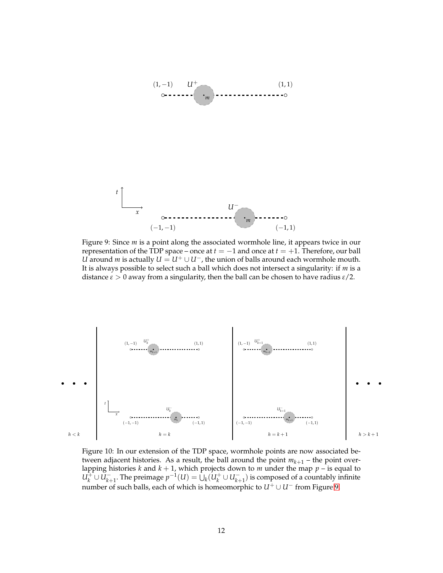<span id="page-11-0"></span>



Figure 9: Since *m* is a point along the associated wormhole line, it appears twice in our representation of the TDP space – once at *t* = −1 and once at *t* = +1. Therefore, our ball *U* around *m* is actually  $U = U^+ \cup U^-$ , the union of balls around each wormhole mouth. It is always possible to select such a ball which does not intersect a singularity: if *m* is a distance  $\varepsilon > 0$  away from a singularity, then the ball can be chosen to have radius  $\varepsilon/2$ .

<span id="page-11-1"></span>

Figure 10: In our extension of the TDP space, wormhole points are now associated between adjacent histories. As a result, the ball around the point  $m_{k+1}$  – the point overlapping histories *k* and *k* + 1, which projects down to *m* under the map *p* – is equal to  $U_k^+$ ∪ $U_{k+1}^-$ . The preimage  $p^{-1}(U) = \bigcup_k (U_k^+ \cup U_{k+1}^-)$  is composed of a countably infinite number of such balls, each of which is homeomorphic to *U*<sup>+</sup> ∪ *U*<sup>−</sup> from Figure [9.](#page-11-0)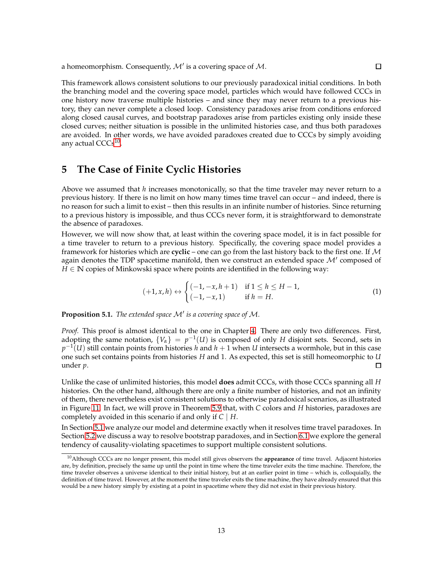a homeomorphism. Consequently,  $\mathcal{M}'$  is a covering space of  $\mathcal{M}$ .

This framework allows consistent solutions to our previously paradoxical initial conditions. In both the branching model and the covering space model, particles which would have followed CCCs in one history now traverse multiple histories – and since they may never return to a previous history, they can never complete a closed loop. Consistency paradoxes arise from conditions enforced along closed causal curves, and bootstrap paradoxes arise from particles existing only inside these closed curves; neither situation is possible in the unlimited histories case, and thus both paradoxes are avoided. In other words, we have avoided paradoxes created due to CCCs by simply avoiding any actual CCCs $^{10}$  $^{10}$  $^{10}$ .

### <span id="page-12-0"></span>**5 The Case of Finite Cyclic Histories**

Above we assumed that *h* increases monotonically, so that the time traveler may never return to a previous history. If there is no limit on how many times time travel can occur – and indeed, there is no reason for such a limit to exist – then this results in an infinite number of histories. Since returning to a previous history is impossible, and thus CCCs never form, it is straightforward to demonstrate the absence of paradoxes.

However, we will now show that, at least within the covering space model, it is in fact possible for a time traveler to return to a previous history. Specifically, the covering space model provides a framework for histories which are **cyclic** – one can go from the last history back to the first one. If M again denotes the TDP spacetime manifold, then we construct an extended space  $\mathcal{M}'$  composed of  $H \in \mathbb{N}$  copies of Minkowski space where points are identified in the following way:

$$
(+1, x, h) \leftrightarrow \begin{cases} (-1, -x, h+1) & \text{if } 1 \le h \le H-1, \\ (-1, -x, 1) & \text{if } h = H. \end{cases}
$$
 (1)

**Proposition 5.1.** *The extended space* M′ *is a covering space of* M*.*

*Proof.* This proof is almost identical to the one in Chapter [4.](#page-8-2) There are only two differences. First, adopting the same notation,  ${V_\alpha} = p^{-1}(U)$  is composed of only *H* disjoint sets. Second, sets in *p*<sup>−1</sup>(U) still contain points from histories *h* and *h* + 1 when *U* intersects a wormhole, but in this case one such set contains points from histories *H* and 1. As expected, this set is still homeomorphic to *U*  $\Box$ under *p*.

Unlike the case of unlimited histories, this model **does** admit CCCs, with those CCCs spanning all *H* histories. On the other hand, although there are only a finite number of histories, and not an infinity of them, there nevertheless exist consistent solutions to otherwise paradoxical scenarios, as illustrated in Figure [11.](#page-13-0) In fact, we will prove in Theorem [5.9](#page-17-0) that, with *C* colors and *H* histories, paradoxes are completely avoided in this scenario if and only if *C* | *H*.

In Section [5.1](#page-14-0) we analyze our model and determine exactly when it resolves time travel paradoxes. In Section [5.2](#page-20-0) we discuss a way to resolve bootstrap paradoxes, and in Section [6.1](#page-21-1) we explore the general tendency of causality-violating spacetimes to support multiple consistent solutions.

<span id="page-12-1"></span><sup>10</sup>Although CCCs are no longer present, this model still gives observers the **appearance** of time travel. Adjacent histories are, by definition, precisely the same up until the point in time where the time traveler exits the time machine. Therefore, the time traveler observes a universe identical to their initial history, but at an earlier point in time – which is, colloquially, the definition of time travel. However, at the moment the time traveler exits the time machine, they have already ensured that this would be a new history simply by existing at a point in spacetime where they did not exist in their previous history.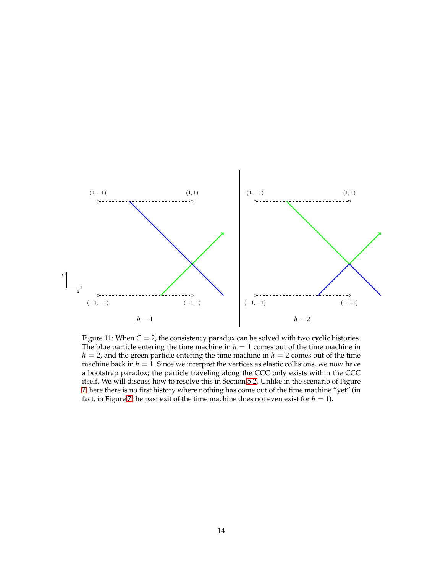<span id="page-13-0"></span>

Figure 11: When *C* = 2, the consistency paradox can be solved with two **cyclic** histories. The blue particle entering the time machine in  $h = 1$  comes out of the time machine in  $h = 2$ , and the green particle entering the time machine in  $h = 2$  comes out of the time machine back in  $h = 1$ . Since we interpret the vertices as elastic collisions, we now have a bootstrap paradox; the particle traveling along the CCC only exists within the CCC itself. We will discuss how to resolve this in Section [5.2.](#page-20-0) Unlike in the scenario of Figure [7,](#page-9-1) here there is no first history where nothing has come out of the time machine "yet" (in fact, in Figure [7](#page-9-1) the past exit of the time machine does not even exist for  $h = 1$ ).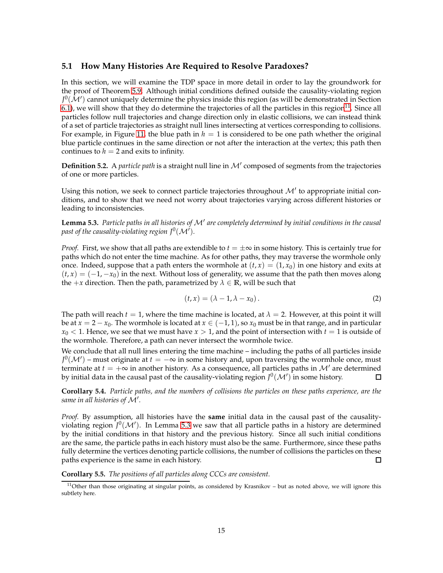#### <span id="page-14-0"></span>**5.1 How Many Histories Are Required to Resolve Paradoxes?**

In this section, we will examine the TDP space in more detail in order to lay the groundwork for the proof of Theorem [5.9.](#page-17-0) Although initial conditions defined outside the causality-violating region  $J^0(\tilde{\cal M}')$  cannot uniquely determine the physics inside this region (as will be demonstrated in Section [6.1\)](#page-21-1), we will show that they do determine the trajectories of all the particles in this region<sup>[11](#page-14-1)</sup>. Since all particles follow null trajectories and change direction only in elastic collisions, we can instead think of a set of particle trajectories as straight null lines intersecting at vertices corresponding to collisions. For example, in Figure [11,](#page-13-0) the blue path in  $h = 1$  is considered to be one path whether the original blue particle continues in the same direction or not after the interaction at the vertex; this path then continues to  $h = 2$  and exits to infinity.

**Definition 5.2.** A *particle path* is a straight null line in M′ composed of segments from the trajectories of one or more particles.

Using this notion, we seek to connect particle trajectories throughout  $\mathcal{M}'$  to appropriate initial conditions, and to show that we need not worry about trajectories varying across different histories or leading to inconsistencies.

<span id="page-14-2"></span>**Lemma 5.3.** *Particle paths in all histories of* M′ *are completely determined by initial conditions in the causal* past of the causality-violating region  $J^0(\mathcal{M}^{\prime}).$ 

*Proof.* First, we show that all paths are extendible to  $t = \pm \infty$  in some history. This is certainly true for paths which do not enter the time machine. As for other paths, they may traverse the wormhole only once. Indeed, suppose that a path enters the wormhole at  $(t, x) = (1, x_0)$  in one history and exits at  $(t, x) = (-1, -x_0)$  in the next. Without loss of generality, we assume that the path then moves along the  $+x$  direction. Then the path, parametrized by  $\lambda \in \mathbb{R}$ , will be such that

$$
(t,x) = (\lambda - 1, \lambda - x_0). \tag{2}
$$

The path will reach  $t = 1$ , where the time machine is located, at  $\lambda = 2$ . However, at this point it will be at  $x = 2 - x_0$ . The wormhole is located at  $x \in (-1, 1)$ , so  $x_0$  must be in that range, and in particular  $x_0 < 1$ . Hence, we see that we must have  $x > 1$ , and the point of intersection with  $t = 1$  is outside of the wormhole. Therefore, a path can never intersect the wormhole twice.

We conclude that all null lines entering the time machine – including the paths of all particles inside *J*<sup>0</sup>(*M'*) – must originate at *t* = −∞ in some history and, upon traversing the wormhole once, must terminate at  $t = +\infty$  in another history. As a consequence, all particles paths in M' are determined by initial data in the causal past of the causality-violating region  $J^0(\mathcal{M}')$  in some history.  $\Box$ 

<span id="page-14-4"></span>**Corollary 5.4.** *Particle paths, and the numbers of collisions the particles on these paths experience, are the same in all histories of* M′ *.*

*Proof.* By assumption, all histories have the **same** initial data in the causal past of the causalityviolating region  $J^0(\mathcal{M}')$ . In Lemma [5.3](#page-14-2) we saw that all particle paths in a history are determined by the initial conditions in that history and the previous history. Since all such initial conditions are the same, the particle paths in each history must also be the same. Furthermore, since these paths fully determine the vertices denoting particle collisions, the number of collisions the particles on these paths experience is the same in each history.  $\Box$ 

<span id="page-14-3"></span>**Corollary 5.5.** *The positions of all particles along CCCs are consistent.*

<span id="page-14-1"></span><sup>&</sup>lt;sup>11</sup>Other than those originating at singular points, as considered by Krasnikov – but as noted above, we will ignore this subtlety here.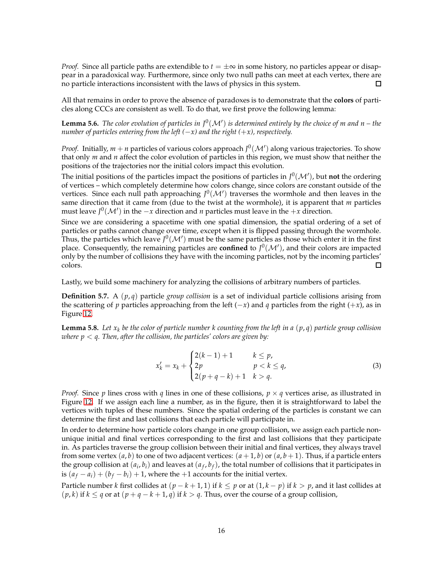*Proof.* Since all particle paths are extendible to  $t = \pm \infty$  in some history, no particles appear or disappear in a paradoxical way. Furthermore, since only two null paths can meet at each vertex, there are no particle interactions inconsistent with the laws of physics in this system.  $\Box$ 

All that remains in order to prove the absence of paradoxes is to demonstrate that the **colors** of particles along CCCs are consistent as well. To do that, we first prove the following lemma:

<span id="page-15-0"></span>**Lemma 5.6.** The color evolution of particles in  $J^0(\mathcal{M}')$  is determined entirely by the choice of m and  $n$  – the *number of particles entering from the left (*−*x) and the right (*+*x), respectively.*

*Proof.* Initially,  $m + n$  particles of various colors approach  $J^0(\mathcal{M}')$  along various trajectories. To show that only *m* and *n* affect the color evolution of particles in this region, we must show that neither the positions of the trajectories nor the initial colors impact this evolution.

The initial positions of the particles impact the positions of particles in  $J^0(\mathcal{M}')$ , but **not** the ordering of vertices – which completely determine how colors change, since colors are constant outside of the vertices. Since each null path approaching  $J^0(\mathcal{M}')$  traverses the wormhole and then leaves in the same direction that it came from (due to the twist at the wormhole), it is apparent that *m* particles must leave  $J^0(\mathcal{M}')$  in the  $-x$  direction and *n* particles must leave in the  $+x$  direction.

Since we are considering a spacetime with one spatial dimension, the spatial ordering of a set of particles or paths cannot change over time, except when it is flipped passing through the wormhole. Thus, the particles which leave  $J^0(\mathcal{M}')$  must be the same particles as those which enter it in the first place. Consequently, the remaining particles are **confined** to  $J^0(\mathcal{M}')$ , and their colors are impacted only by the number of collisions they have with the incoming particles, not by the incoming particles' colors.  $\Box$ 

Lastly, we build some machinery for analyzing the collisions of arbitrary numbers of particles.

**Definition 5.7.** A (*p*, *q*) particle *group collision* is a set of individual particle collisions arising from the scattering of *p* particles approaching from the left ( $-x$ ) and *q* particles from the right ( $+x$ ), as in Figure [12.](#page-16-0)

<span id="page-15-1"></span>**Lemma 5.8.** Let  $x_k$  be the color of particle number k counting from the left in a  $(p, q)$  particle group collision *where*  $p < q$ *. Then, after the collision, the particles' colors are given by:* 

$$
x'_{k} = x_{k} + \begin{cases} 2(k-1) + 1 & k \le p, \\ 2p & p < k \le q, \\ 2(p+q-k) + 1 & k > q. \end{cases}
$$
 (3)

*Proof.* Since *p* lines cross with *q* lines in one of these collisions,  $p \times q$  vertices arise, as illustrated in Figure [12.](#page-16-0) If we assign each line a number, as in the figure, then it is straightforward to label the vertices with tuples of these numbers. Since the spatial ordering of the particles is constant we can determine the first and last collisions that each particle will participate in.

In order to determine how particle colors change in one group collision, we assign each particle nonunique initial and final vertices corresponding to the first and last collisions that they participate in. As particles traverse the group collision between their initial and final vertices, they always travel from some vertex  $(a, b)$  to one of two adjacent vertices:  $(a + 1, b)$  or  $(a, b + 1)$ . Thus, if a particle enters the group collision at  $(a_i, b_i)$  and leaves at  $(a_f, b_f)$ , the total number of collisions that it participates in is  $(a_f - a_i) + (b_f - b_i) + 1$ , where the +1 accounts for the initial vertex.

Particle number *k* first collides at  $(p - k + 1, 1)$  if  $k \le p$  or at  $(1, k - p)$  if  $k > p$ , and it last collides at  $(p, k)$  if  $k \leq q$  or at  $(p+q-k+1, q)$  if  $k > q$ . Thus, over the course of a group collision,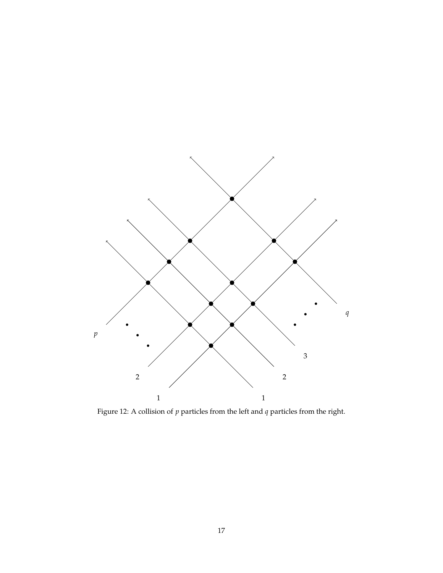<span id="page-16-0"></span>

Figure 12: A collision of *p* particles from the left and *q* particles from the right.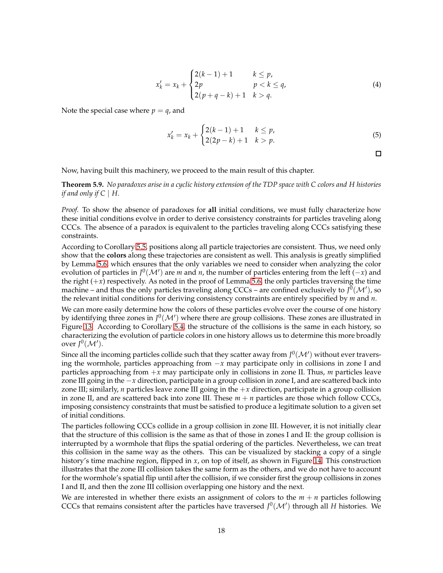<span id="page-17-1"></span>
$$
x'_{k} = x_{k} + \begin{cases} 2(k-1) + 1 & k \leq p, \\ 2p & p < k \leq q, \\ 2(p+q-k) + 1 & k > q. \end{cases}
$$
 (4)

Note the special case where  $p = q$ , and

<span id="page-17-2"></span>
$$
x'_{k} = x_{k} + \begin{cases} 2(k-1) + 1 & k \le p, \\ 2(2p - k) + 1 & k > p. \end{cases}
$$
 (5)

 $\Box$ 

Now, having built this machinery, we proceed to the main result of this chapter.

<span id="page-17-0"></span>**Theorem 5.9.** *No paradoxes arise in a cyclic history extension of the TDP space with C colors and H histories if and only if*  $C \mid H$ .

*Proof.* To show the absence of paradoxes for **all** initial conditions, we must fully characterize how these initial conditions evolve in order to derive consistency constraints for particles traveling along CCCs. The absence of a paradox is equivalent to the particles traveling along CCCs satisfying these constraints.

According to Corollary [5.5,](#page-14-3) positions along all particle trajectories are consistent. Thus, we need only show that the **colors** along these trajectories are consistent as well. This analysis is greatly simplified by Lemma [5.6,](#page-15-0) which ensures that the only variables we need to consider when analyzing the color evolution of particles in  $J^0(\mathcal{M}')$  are *m* and *n*, the number of particles entering from the left (-*x*) and the right  $(+x)$  respectively. As noted in the proof of Lemma [5.6,](#page-15-0) the only particles traversing the time machine – and thus the only particles traveling along CCCs – are confined exclusively to  $J^{\bar{0}}(\mathcal{M}')$ , so the relevant initial conditions for deriving consistency constraints are entirely specified by *m* and *n*.

We can more easily determine how the colors of these particles evolve over the course of one history by identifying three zones in  $J^0(\mathcal{M}')$  where there are group collisions. These zones are illustrated in Figure [13.](#page-18-0) According to Corollary [5.4,](#page-14-4) the structure of the collisions is the same in each history, so characterizing the evolution of particle colors in one history allows us to determine this more broadly over  $J^0(\mathcal{M}^{\prime}).$ 

Since all the incoming particles collide such that they scatter away from  $J^0(\mathcal{M}')$  without ever traversing the wormhole, particles approaching from −*x* may participate only in collisions in zone I and particles approaching from +*x* may participate only in collisions in zone II. Thus, *m* particles leave zone III going in the −*x* direction, participate in a group collision in zone I, and are scattered back into zone III; similarly, *n* particles leave zone III going in the  $+x$  direction, participate in a group collision in zone II, and are scattered back into zone III. These *m* + *n* particles are those which follow CCCs, imposing consistency constraints that must be satisfied to produce a legitimate solution to a given set of initial conditions.

The particles following CCCs collide in a group collision in zone III. However, it is not initially clear that the structure of this collision is the same as that of those in zones I and II: the group collision is interrupted by a wormhole that flips the spatial ordering of the particles. Nevertheless, we can treat this collision in the same way as the others. This can be visualized by stacking a copy of a single history's time machine region, flipped in *x*, on top of itself, as shown in Figure [14.](#page-19-0) This construction illustrates that the zone III collision takes the same form as the others, and we do not have to account for the wormhole's spatial flip until after the collision, if we consider first the group collisions in zones I and II, and then the zone III collision overlapping one history and the next.

We are interested in whether there exists an assignment of colors to the  $m + n$  particles following CCCs that remains consistent after the particles have traversed  $J^0(\mathcal{M}')$  through all *H* histories. We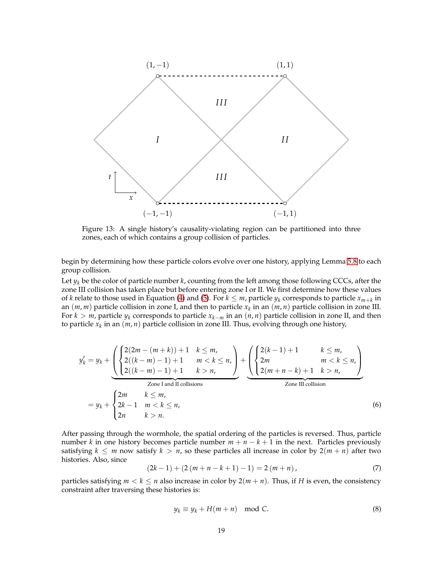<span id="page-18-0"></span>

Figure 13: A single history's causality-violating region can be partitioned into three zones, each of which contains a group collision of particles.

begin by determining how these particle colors evolve over one history, applying Lemma [5.8](#page-15-1) to each group collision.

Let *y<sup>k</sup>* be the color of particle number *k*, counting from the left among those following CCCs, after the zone III collision has taken place but before entering zone I or II. We first determine how these values of *k* relate to those used in Equation [\(4\)](#page-17-1) and [\(5\)](#page-17-2). For  $k \leq m$ , particle  $y_k$  corresponds to particle  $x_{m+k}$  in an (*m*, *m*) particle collision in zone I, and then to particle *x<sup>k</sup>* in an (*m*, *n*) particle collision in zone III. For  $k > m$ , particle  $y_k$  corresponds to particle  $x_{k-m}$  in an  $(n, n)$  particle collision in zone II, and then to particle *x<sup>k</sup>* in an (*m*, *n*) particle collision in zone III. Thus, evolving through one history,

$$
y'_{k} = y_{k} + \underbrace{\begin{pmatrix} 2(2m - (m + k)) + 1 & k \leq m, \\ 2((k - m) - 1) + 1 & m < k \leq n, \\ 2((k - m) - 1) + 1 & k > n, \end{pmatrix}}_{\text{Zone I and II collisions}} + \underbrace{\begin{pmatrix} 2(k - 1) + 1 & k \leq m, \\ 2m & m < k \leq n, \\ 2(m + n - k) + 1 & k > n, \end{pmatrix}}_{\text{Zone III collision}}
$$
  

$$
= y_{k} + \begin{cases} 2m & k \leq m, \\ 2k - 1 & m < k \leq n, \\ 2n & k > n. \end{cases}
$$
  
(6)

After passing through the wormhole, the spatial ordering of the particles is reversed. Thus, particle number *k* in one history becomes particle number  $m + n - k + 1$  in the next. Particles previously satisfying  $k \le m$  now satisfy  $k > n$ , so these particles all increase in color by  $2(m+n)$  after two histories. Also, since

$$
(2k-1) + (2(m+n-k+1)-1) = 2(m+n),
$$
\n(7)

particles satisfying  $m < k \le n$  also increase in color by  $2(m + n)$ . Thus, if *H* is even, the consistency constraint after traversing these histories is:

<span id="page-18-2"></span><span id="page-18-1"></span>
$$
y_k \equiv y_k + H(m+n) \mod C. \tag{8}
$$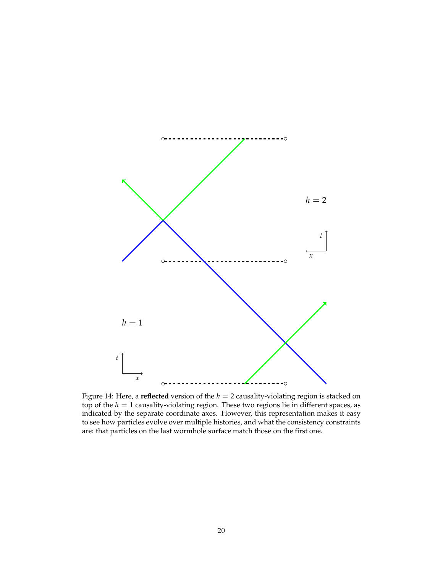<span id="page-19-0"></span>

Figure 14: Here, a **reflected** version of the *h* = 2 causality-violating region is stacked on top of the *h* = 1 causality-violating region. These two regions lie in different spaces, as indicated by the separate coordinate axes. However, this representation makes it easy to see how particles evolve over multiple histories, and what the consistency constraints are: that particles on the last wormhole surface match those on the first one.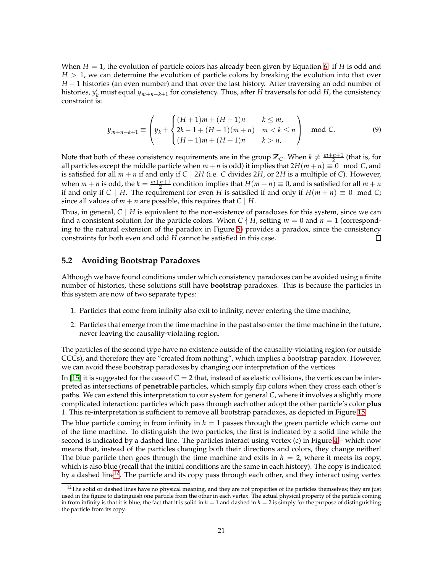When *H* = 1, the evolution of particle colors has already been given by Equation [6.](#page-18-1) If *H* is odd and *H* > 1, we can determine the evolution of particle colors by breaking the evolution into that over *H* − 1 histories (an even number) and that over the last history. After traversing an odd number of histories,  $y'_k$  must equal  $y_{m+n-k+1}$  for consistency. Thus, after  $H$  traversals for odd  $H$ , the consistency constraint is:

<span id="page-20-2"></span>
$$
y_{m+n-k+1} \equiv \begin{pmatrix} y_k + \begin{cases} (H+1)m + (H-1)n & k \le m, \\ 2k - 1 + (H-1)(m+n) & m < k \le n \\ (H-1)m + (H+1)n & k > n, \end{cases} \mod C. \tag{9}
$$

Note that both of these consistency requirements are in the group  $\mathbb{Z}_C$ . When  $k \neq \frac{m+n+1}{2}$  (that is, for all particles except the middle particle when  $m + n$  is odd) it implies that  $2H(m + n) \equiv 0 \mod C$ , and is satisfied for all  $m + n$  if and only if  $C \mid 2H$  (i.e.  $C$  divides  $2H$ , or  $2H$  is a multiple of  $C$ ). However, when  $m + n$  is odd, the  $k = \frac{m+n+1}{2}$  condition implies that  $H(m+n) \equiv 0$ , and is satisfied for all  $m+n$ if and only if  $C \mid H$ . The requirement for even *H* is satisfied if and only if  $H(m+n) \equiv 0 \mod C$ ; since all values of  $m + n$  are possible, this requires that  $C \mid H$ .

Thus, in general, *C* | *H* is equivalent to the non-existence of paradoxes for this system, since we can find a consistent solution for the particle colors. When  $C \nmid H$ , setting  $m = 0$  and  $n = 1$  (corresponding to the natural extension of the paradox in Figure [5\)](#page-6-1) provides a paradox, since the consistency constraints for both even and odd *H* cannot be satisfied in this case. П

#### <span id="page-20-0"></span>**5.2 Avoiding Bootstrap Paradoxes**

Although we have found conditions under which consistency paradoxes can be avoided using a finite number of histories, these solutions still have **bootstrap** paradoxes. This is because the particles in this system are now of two separate types:

- 1. Particles that come from infinity also exit to infinity, never entering the time machine;
- 2. Particles that emerge from the time machine in the past also enter the time machine in the future, never leaving the causality-violating region.

The particles of the second type have no existence outside of the causality-violating region (or outside CCCs), and therefore they are "created from nothing", which implies a bootstrap paradox. However, we can avoid these bootstrap paradoxes by changing our interpretation of the vertices.

In [\[15\]](#page-27-12) it is suggested for the case of  $C = 2$  that, instead of as elastic collisions, the vertices can be interpreted as intersections of **penetrable** particles, which simply flip colors when they cross each other's paths. We can extend this interpretation to our system for general *C*, where it involves a slightly more complicated interaction: particles which pass through each other adopt the other particle's color **plus** 1. This re-interpretation is sufficient to remove all bootstrap paradoxes, as depicted in Figure [15.](#page-21-2)

The blue particle coming in from infinity in *h* = 1 passes through the green particle which came out of the time machine. To distinguish the two particles, the first is indicated by a solid line while the second is indicated by a dashed line. The particles interact using vertex (c) in Figure [4](#page-6-0) – which now means that, instead of the particles changing both their directions and colors, they change neither! The blue particle then goes through the time machine and exits in  $h = 2$ , where it meets its copy, which is also blue (recall that the initial conditions are the same in each history). The copy is indicated by a dashed line<sup>[12](#page-20-1)</sup>. The particle and its copy pass through each other, and they interact using vertex

<span id="page-20-1"></span> $12$ The solid or dashed lines have no physical meaning, and they are not properties of the particles themselves; they are just used in the figure to distinguish one particle from the other in each vertex. The actual physical property of the particle coming in from infinity is that it is blue; the fact that it is solid in  $h = 1$  and dashed in  $h = 2$  is simply for the purpose of distinguishing the particle from its copy.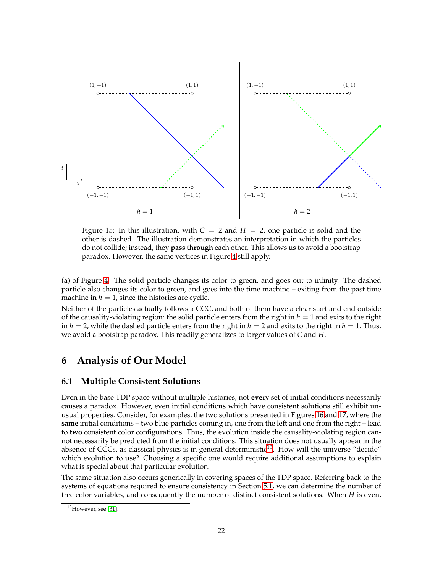<span id="page-21-2"></span>

Figure 15: In this illustration, with  $C = 2$  and  $H = 2$ , one particle is solid and the other is dashed. The illustration demonstrates an interpretation in which the particles do not collide; instead, they **pass through** each other. This allows us to avoid a bootstrap paradox. However, the same vertices in Figure [4](#page-6-0) still apply.

(a) of Figure [4.](#page-6-0) The solid particle changes its color to green, and goes out to infinity. The dashed particle also changes its color to green, and goes into the time machine – exiting from the past time machine in  $h = 1$ , since the histories are cyclic.

Neither of the particles actually follows a CCC, and both of them have a clear start and end outside of the causality-violating region: the solid particle enters from the right in  $h = 1$  and exits to the right in  $h = 2$ , while the dashed particle enters from the right in  $h = 2$  and exits to the right in  $h = 1$ . Thus, we avoid a bootstrap paradox. This readily generalizes to larger values of *C* and *H*.

# <span id="page-21-0"></span>**6 Analysis of Our Model**

### <span id="page-21-1"></span>**6.1 Multiple Consistent Solutions**

Even in the base TDP space without multiple histories, not **every** set of initial conditions necessarily causes a paradox. However, even initial conditions which have consistent solutions still exhibit unusual properties. Consider, for examples, the two solutions presented in Figures [16](#page-22-0) and [17,](#page-22-1) where the **same** initial conditions – two blue particles coming in, one from the left and one from the right – lead to **two** consistent color configurations. Thus, the evolution inside the causality-violating region cannot necessarily be predicted from the initial conditions. This situation does not usually appear in the absence of CCCs, as classical physics is in general deterministic<sup>[13](#page-21-3)</sup>. How will the universe "decide" which evolution to use? Choosing a specific one would require additional assumptions to explain what is special about that particular evolution.

The same situation also occurs generically in covering spaces of the TDP space. Referring back to the systems of equations required to ensure consistency in Section [5.1,](#page-14-0) we can determine the number of free color variables, and consequently the number of distinct consistent solutions. When *H* is even,

<span id="page-21-3"></span><sup>&</sup>lt;sup>13</sup>However, see [\[31\]](#page-28-9).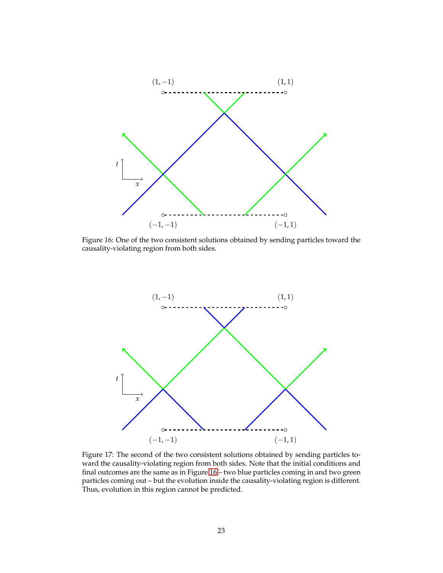<span id="page-22-0"></span>

Figure 16: One of the two consistent solutions obtained by sending particles toward the causality-violating region from both sides.

<span id="page-22-1"></span>

Figure 17: The second of the two consistent solutions obtained by sending particles toward the causality-violating region from both sides. Note that the initial conditions and final outcomes are the same as in Figure [16](#page-22-0) – two blue particles coming in and two green particles coming out – but the evolution inside the causality-violating region is different. Thus, evolution in this region cannot be predicted.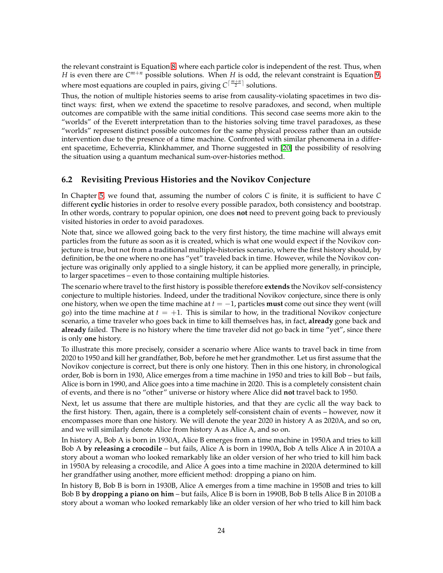the relevant constraint is Equation [8,](#page-18-2) where each particle color is independent of the rest. Thus, when *H* is even there are *C <sup>m</sup>*+*<sup>n</sup>* possible solutions. When *H* is odd, the relevant constraint is Equation [9,](#page-20-2) where most equations are coupled in pairs, giving  $C^{\lceil \frac{m+n}{2} \rceil}$  solutions.

Thus, the notion of multiple histories seems to arise from causality-violating spacetimes in two distinct ways: first, when we extend the spacetime to resolve paradoxes, and second, when multiple outcomes are compatible with the same initial conditions. This second case seems more akin to the "worlds" of the Everett interpretation than to the histories solving time travel paradoxes, as these "worlds" represent distinct possible outcomes for the same physical process rather than an outside intervention due to the presence of a time machine. Confronted with similar phenomena in a different spacetime, Echeverria, Klinkhammer, and Thorne suggested in [\[20\]](#page-27-16) the possibility of resolving the situation using a quantum mechanical sum-over-histories method.

#### <span id="page-23-0"></span>**6.2 Revisiting Previous Histories and the Novikov Conjecture**

In Chapter [5,](#page-12-0) we found that, assuming the number of colors *C* is finite, it is sufficient to have *C* different **cyclic** histories in order to resolve every possible paradox, both consistency and bootstrap. In other words, contrary to popular opinion, one does **not** need to prevent going back to previously visited histories in order to avoid paradoxes.

Note that, since we allowed going back to the very first history, the time machine will always emit particles from the future as soon as it is created, which is what one would expect if the Novikov conjecture is true, but not from a traditional multiple-histories scenario, where the first history should, by definition, be the one where no one has "yet" traveled back in time. However, while the Novikov conjecture was originally only applied to a single history, it can be applied more generally, in principle, to larger spacetimes – even to those containing multiple histories.

The scenario where travel to the first history is possible therefore **extends** the Novikov self-consistency conjecture to multiple histories. Indeed, under the traditional Novikov conjecture, since there is only one history, when we open the time machine at  $t = -1$ , particles **must** come out since they went (will go) into the time machine at  $t = +1$ . This is similar to how, in the traditional Novikov conjecture scenario, a time traveler who goes back in time to kill themselves has, in fact, **already** gone back and **already** failed. There is no history where the time traveler did not go back in time "yet", since there is only **one** history.

To illustrate this more precisely, consider a scenario where Alice wants to travel back in time from 2020 to 1950 and kill her grandfather, Bob, before he met her grandmother. Let us first assume that the Novikov conjecture is correct, but there is only one history. Then in this one history, in chronological order, Bob is born in 1930, Alice emerges from a time machine in 1950 and tries to kill Bob – but fails, Alice is born in 1990, and Alice goes into a time machine in 2020. This is a completely consistent chain of events, and there is no "other" universe or history where Alice did **not** travel back to 1950.

Next, let us assume that there are multiple histories, and that they are cyclic all the way back to the first history. Then, again, there is a completely self-consistent chain of events – however, now it encompasses more than one history. We will denote the year 2020 in history A as 2020A, and so on, and we will similarly denote Alice from history A as Alice A, and so on.

In history A, Bob A is born in 1930A, Alice B emerges from a time machine in 1950A and tries to kill Bob A **by releasing a crocodile** – but fails, Alice A is born in 1990A, Bob A tells Alice A in 2010A a story about a woman who looked remarkably like an older version of her who tried to kill him back in 1950A by releasing a crocodile, and Alice A goes into a time machine in 2020A determined to kill her grandfather using another, more efficient method: dropping a piano on him.

In history B, Bob B is born in 1930B, Alice A emerges from a time machine in 1950B and tries to kill Bob B **by dropping a piano on him** – but fails, Alice B is born in 1990B, Bob B tells Alice B in 2010B a story about a woman who looked remarkably like an older version of her who tried to kill him back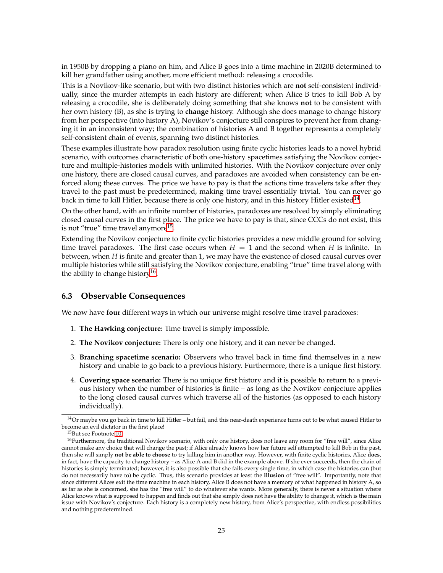in 1950B by dropping a piano on him, and Alice B goes into a time machine in 2020B determined to kill her grandfather using another, more efficient method: releasing a crocodile.

This is a Novikov-like scenario, but with two distinct histories which are **not** self-consistent individually, since the murder attempts in each history are different; when Alice B tries to kill Bob A by releasing a crocodile, she is deliberately doing something that she knows **not** to be consistent with her own history (B), as she is trying to **change** history. Although she does manage to change history from her perspective (into history A), Novikov's conjecture still conspires to prevent her from changing it in an inconsistent way; the combination of histories A and B together represents a completely self-consistent chain of events, spanning two distinct histories.

These examples illustrate how paradox resolution using finite cyclic histories leads to a novel hybrid scenario, with outcomes characteristic of both one-history spacetimes satisfying the Novikov conjecture and multiple-histories models with unlimited histories. With the Novikov conjecture over only one history, there are closed causal curves, and paradoxes are avoided when consistency can be enforced along these curves. The price we have to pay is that the actions time travelers take after they travel to the past must be predetermined, making time travel essentially trivial. You can never go back in time to kill Hitler, because there is only one history, and in this history Hitler existed $^{14}$  $^{14}$  $^{14}$ .

On the other hand, with an infinite number of histories, paradoxes are resolved by simply eliminating closed causal curves in the first place. The price we have to pay is that, since CCCs do not exist, this is not "true" time travel anymore<sup>[15](#page-24-2)</sup>.

Extending the Novikov conjecture to finite cyclic histories provides a new middle ground for solving time travel paradoxes. The first case occurs when  $H = 1$  and the second when *H* is infinite. In between, when *H* is finite and greater than 1, we may have the existence of closed causal curves over multiple histories while still satisfying the Novikov conjecture, enabling "true" time travel along with the ability to change history<sup>[16](#page-24-3)</sup>.

#### <span id="page-24-0"></span>**6.3 Observable Consequences**

We now have **four** different ways in which our universe might resolve time travel paradoxes:

- 1. **The Hawking conjecture:** Time travel is simply impossible.
- 2. **The Novikov conjecture:** There is only one history, and it can never be changed.
- 3. **Branching spacetime scenario:** Observers who travel back in time find themselves in a new history and unable to go back to a previous history. Furthermore, there is a unique first history.
- 4. **Covering space scenario:** There is no unique first history and it is possible to return to a previous history when the number of histories is finite – as long as the Novikov conjecture applies to the long closed causal curves which traverse all of the histories (as opposed to each history individually).

 $14$ Or maybe you go back in time to kill Hitler – but fail, and this near-death experience turns out to be what caused Hitler to become an evil dictator in the first place!

<span id="page-24-2"></span><span id="page-24-1"></span><sup>15</sup>But see Footnote [10.](#page-12-1)

<span id="page-24-3"></span><sup>&</sup>lt;sup>16</sup>Furthermore, the traditional Novikov scenario, with only one history, does not leave any room for "free will", since Alice cannot make any choice that will change the past; if Alice already knows how her future self attempted to kill Bob in the past, then she will simply **not be able to choose** to try killing him in another way. However, with finite cyclic histories, Alice **does**, in fact, have the capacity to change history – as Alice A and B did in the example above. If she ever succeeds, then the chain of histories is simply terminated; however, it is also possible that she fails every single time, in which case the histories can (but do not necessarily have to) be cyclic. Thus, this scenario provides at least the **illusion** of "free will". Importantly, note that since different Alices exit the time machine in each history, Alice B does not have a memory of what happened in history A, so as far as she is concerned, she has the "free will" to do whatever she wants. More generally, there is never a situation where Alice knows what is supposed to happen and finds out that she simply does not have the ability to change it, which is the main issue with Novikov's conjecture. Each history is a completely new history, from Alice's perspective, with endless possibilities and nothing predetermined.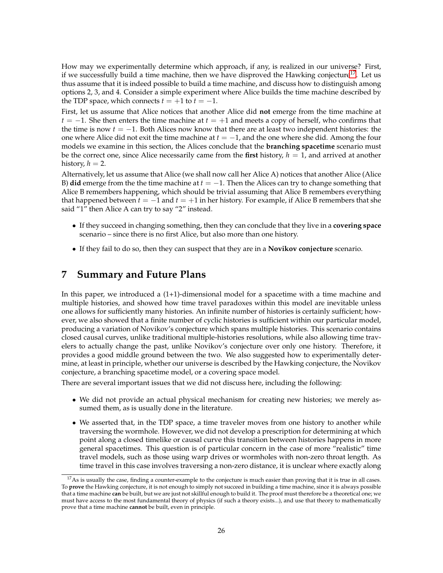How may we experimentally determine which approach, if any, is realized in our universe? First, if we successfully build a time machine, then we have disproved the Hawking conjecture $17$ . Let us thus assume that it is indeed possible to build a time machine, and discuss how to distinguish among options 2, 3, and 4. Consider a simple experiment where Alice builds the time machine described by the TDP space, which connects  $t = +1$  to  $t = -1$ .

First, let us assume that Alice notices that another Alice did **not** emerge from the time machine at  $t = -1$ . She then enters the time machine at  $t = +1$  and meets a copy of herself, who confirms that the time is now *t* = −1. Both Alices now know that there are at least two independent histories: the one where Alice did not exit the time machine at  $t = -1$ , and the one where she did. Among the four models we examine in this section, the Alices conclude that the **branching spacetime** scenario must be the correct one, since Alice necessarily came from the **first** history,  $h = 1$ , and arrived at another history,  $h = 2$ .

Alternatively, let us assume that Alice (we shall now call her Alice A) notices that another Alice (Alice B) **did** emerge from the the time machine at *t* = −1. Then the Alices can try to change something that Alice B remembers happening, which should be trivial assuming that Alice B remembers everything that happened between  $t = -1$  and  $t = +1$  in her history. For example, if Alice B remembers that she said "1" then Alice A can try to say "2" instead.

- If they succeed in changing something, then they can conclude that they live in a **covering space** scenario – since there is no first Alice, but also more than one history.
- If they fail to do so, then they can suspect that they are in a **Novikov conjecture** scenario.

### <span id="page-25-0"></span>**7 Summary and Future Plans**

In this paper, we introduced a (1+1)-dimensional model for a spacetime with a time machine and multiple histories, and showed how time travel paradoxes within this model are inevitable unless one allows for sufficiently many histories. An infinite number of histories is certainly sufficient; however, we also showed that a finite number of cyclic histories is sufficient within our particular model, producing a variation of Novikov's conjecture which spans multiple histories. This scenario contains closed causal curves, unlike traditional multiple-histories resolutions, while also allowing time travelers to actually change the past, unlike Novikov's conjecture over only one history. Therefore, it provides a good middle ground between the two. We also suggested how to experimentally determine, at least in principle, whether our universe is described by the Hawking conjecture, the Novikov conjecture, a branching spacetime model, or a covering space model.

There are several important issues that we did not discuss here, including the following:

- We did not provide an actual physical mechanism for creating new histories; we merely assumed them, as is usually done in the literature.
- We asserted that, in the TDP space, a time traveler moves from one history to another while traversing the wormhole. However, we did not develop a prescription for determining at which point along a closed timelike or causal curve this transition between histories happens in more general spacetimes. This question is of particular concern in the case of more "realistic" time travel models, such as those using warp drives or wormholes with non-zero throat length. As time travel in this case involves traversing a non-zero distance, it is unclear where exactly along

<span id="page-25-1"></span> $17$ As is usually the case, finding a counter-example to the conjecture is much easier than proving that it is true in all cases. To **prove** the Hawking conjecture, it is not enough to simply not succeed in building a time machine, since it is always possible that a time machine **can** be built, but we are just not skillful enough to build it. The proof must therefore be a theoretical one; we must have access to the most fundamental theory of physics (if such a theory exists...), and use that theory to mathematically prove that a time machine **cannot** be built, even in principle.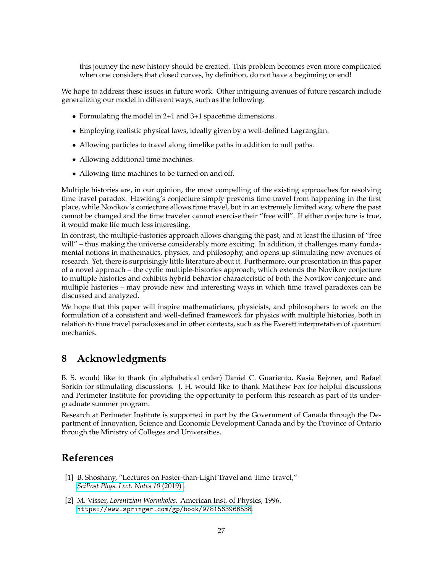this journey the new history should be created. This problem becomes even more complicated when one considers that closed curves, by definition, do not have a beginning or end!

We hope to address these issues in future work. Other intriguing avenues of future research include generalizing our model in different ways, such as the following:

- Formulating the model in 2+1 and 3+1 spacetime dimensions.
- Employing realistic physical laws, ideally given by a well-defined Lagrangian.
- Allowing particles to travel along timelike paths in addition to null paths.
- Allowing additional time machines.
- Allowing time machines to be turned on and off.

Multiple histories are, in our opinion, the most compelling of the existing approaches for resolving time travel paradox. Hawking's conjecture simply prevents time travel from happening in the first place, while Novikov's conjecture allows time travel, but in an extremely limited way, where the past cannot be changed and the time traveler cannot exercise their "free will". If either conjecture is true, it would make life much less interesting.

In contrast, the multiple-histories approach allows changing the past, and at least the illusion of "free will" – thus making the universe considerably more exciting. In addition, it challenges many fundamental notions in mathematics, physics, and philosophy, and opens up stimulating new avenues of research. Yet, there is surprisingly little literature about it. Furthermore, our presentation in this paper of a novel approach – the cyclic multiple-histories approach, which extends the Novikov conjecture to multiple histories and exhibits hybrid behavior characteristic of both the Novikov conjecture and multiple histories – may provide new and interesting ways in which time travel paradoxes can be discussed and analyzed.

We hope that this paper will inspire mathematicians, physicists, and philosophers to work on the formulation of a consistent and well-defined framework for physics with multiple histories, both in relation to time travel paradoxes and in other contexts, such as the Everett interpretation of quantum mechanics.

### <span id="page-26-0"></span>**8 Acknowledgments**

B. S. would like to thank (in alphabetical order) Daniel C. Guariento, Kasia Rejzner, and Rafael Sorkin for stimulating discussions. J. H. would like to thank Matthew Fox for helpful discussions and Perimeter Institute for providing the opportunity to perform this research as part of its undergraduate summer program.

<span id="page-26-1"></span>Research at Perimeter Institute is supported in part by the Government of Canada through the Department of Innovation, Science and Economic Development Canada and by the Province of Ontario through the Ministry of Colleges and Universities.

### <span id="page-26-2"></span>**References**

- [1] B. Shoshany, "Lectures on Faster-than-Light Travel and Time Travel," *[SciPost Phys. Lect. Notes 10](http://dx.doi.org/10.21468/SciPostPhysLectNotes.10)* (2019) .
- <span id="page-26-3"></span>[2] M. Visser, *Lorentzian Wormholes*. American Inst. of Physics, 1996. <https://www.springer.com/gp/book/9781563966538>.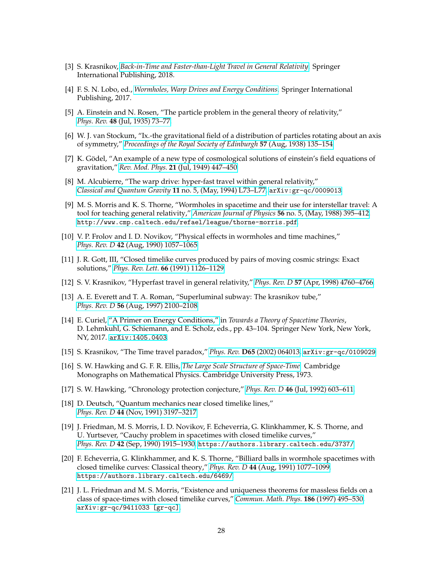- <span id="page-27-0"></span>[3] S. Krasnikov, *[Back-in-Time and Faster-than-Light Travel in General Relativity](http://dx.doi.org/10.1007/978-3-319-72754-7)*. Springer International Publishing, 2018.
- <span id="page-27-1"></span>[4] F. S. N. Lobo, ed., *[Wormholes, Warp Drives and Energy Conditions](http://dx.doi.org/10.1007/978-3-319-55182-1)*. Springer International Publishing, 2017.
- <span id="page-27-2"></span>[5] A. Einstein and N. Rosen, "The particle problem in the general theory of relativity," *Phys. Rev.* **48** [\(Jul, 1935\) 73–77.](http://dx.doi.org/10.1103/PhysRev.48.73)
- <span id="page-27-3"></span>[6] W. J. van Stockum, "Ix.-the gravitational field of a distribution of particles rotating about an axis of symmetry," *[Proceedings of the Royal Society of Edinburgh](http://dx.doi.org/10.1017/S0370164600013699)* **57** (Aug, 1938) 135–154.
- <span id="page-27-4"></span>[7] K. Gödel, "An example of a new type of cosmological solutions of einstein's field equations of gravitation," *Rev. Mod. Phys.* **21** [\(Jul, 1949\) 447–450.](http://dx.doi.org/10.1103/RevModPhys.21.447)
- <span id="page-27-5"></span>[8] M. Alcubierre, "The warp drive: hyper-fast travel within general relativity," *[Classical and Quantum Gravity](http://dx.doi.org/10.1088/0264-9381/11/5/001)* **11** no. 5, (May, 1994) L73–L77, [arXiv:gr-qc/0009013](http://arxiv.org/abs/gr-qc/0009013).
- <span id="page-27-6"></span>[9] M. S. Morris and K. S. Thorne, "Wormholes in spacetime and their use for interstellar travel: A tool for teaching general relativity," *American Journal of Physics* **56** [no. 5, \(May, 1988\) 395–412.](http://dx.doi.org/10.1119/1.15620) <http://www.cmp.caltech.edu/refael/league/thorne-morris.pdf>.
- <span id="page-27-7"></span>[10] V. P. Frolov and I. D. Novikov, "Physical effects in wormholes and time machines," *Phys. Rev. D* **42** [\(Aug, 1990\) 1057–1065.](http://dx.doi.org/10.1103/PhysRevD.42.1057)
- <span id="page-27-8"></span>[11] J. R. Gott, III, "Closed timelike curves produced by pairs of moving cosmic strings: Exact solutions," *Phys. Rev. Lett.* **66** [\(1991\) 1126–1129.](http://dx.doi.org/10.1103/PhysRevLett.66.1126)
- <span id="page-27-10"></span><span id="page-27-9"></span>[12] S. V. Krasnikov, "Hyperfast travel in general relativity," *Phys. Rev. D* **57** [\(Apr, 1998\) 4760–4766.](http://dx.doi.org/10.1103/PhysRevD.57.4760)
- [13] A. E. Everett and T. A. Roman, "Superluminal subway: The krasnikov tube," *Phys. Rev. D* **56** [\(Aug, 1997\) 2100–2108.](http://dx.doi.org/10.1103/PhysRevD.56.2100)
- <span id="page-27-11"></span>[14] E. Curiel, ["A Primer on Energy Conditions,"](http://dx.doi.org/10.1007/978-1-4939-3210-8_3) in *Towards a Theory of Spacetime Theories*, D. Lehmkuhl, G. Schiemann, and E. Scholz, eds., pp. 43–104. Springer New York, New York, NY, 2017. [arXiv:1405.0403](http://arxiv.org/abs/1405.0403).
- <span id="page-27-18"></span><span id="page-27-12"></span>[15] S. Krasnikov, "The Time travel paradox," *Phys. Rev.* **D65** [\(2002\) 064013,](http://dx.doi.org/10.1103/PhysRevD.65.064013) [arXiv:gr-qc/0109029](http://arxiv.org/abs/gr-qc/0109029).
- [16] S. W. Hawking and G. F. R. Ellis, *[The Large Scale Structure of Space-Time](http://dx.doi.org/10.1017/CBO9780511524646)*. Cambridge Monographs on Mathematical Physics. Cambridge University Press, 1973.
- <span id="page-27-14"></span><span id="page-27-13"></span>[17] S. W. Hawking, "Chronology protection conjecture," *Phys. Rev. D* **46** [\(Jul, 1992\) 603–611.](http://dx.doi.org/10.1103/PhysRevD.46.603)
- [18] D. Deutsch, "Quantum mechanics near closed timelike lines," *Phys. Rev. D* **44** [\(Nov, 1991\) 3197–3217.](http://dx.doi.org/10.1103/PhysRevD.44.3197)
- <span id="page-27-15"></span>[19] J. Friedman, M. S. Morris, I. D. Novikov, F. Echeverria, G. Klinkhammer, K. S. Thorne, and U. Yurtsever, "Cauchy problem in spacetimes with closed timelike curves," *Phys. Rev. D* **42** [\(Sep, 1990\) 1915–1930.](http://dx.doi.org/10.1103/PhysRevD.42.1915) <https://authors.library.caltech.edu/3737/>.
- <span id="page-27-16"></span>[20] F. Echeverria, G. Klinkhammer, and K. S. Thorne, "Billiard balls in wormhole spacetimes with closed timelike curves: Classical theory," *Phys. Rev. D* **44** [\(Aug, 1991\) 1077–1099.](http://dx.doi.org/10.1103/PhysRevD.44.1077) <https://authors.library.caltech.edu/6469/>.
- <span id="page-27-17"></span>[21] J. L. Friedman and M. S. Morris, "Existence and uniqueness theorems for massless fields on a class of space-times with closed timelike curves," *[Commun. Math. Phys.](http://dx.doi.org/10.1007/s002200050118)* **186** (1997) 495–530, [arXiv:gr-qc/9411033 \[gr-qc\]](http://arxiv.org/abs/gr-qc/9411033).